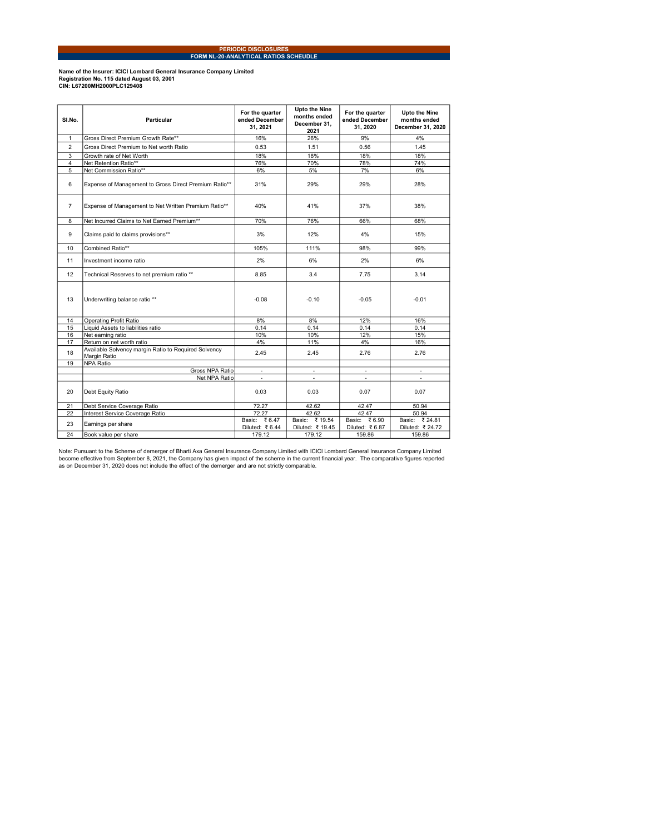## PERIODIC DISCLOSURES FORM NL-20-ANALYTICAL RATIOS SCHEUDLE

Name of the Insurer: ICICI Lombard General Insurance Company Limited<br>Registration No. 115 dated August 03, 2001<br>CIN: L67200MH2000PLC129408

| SI.No.         | <b>Particular</b>                                                    | For the quarter<br>ended December<br>31, 2021 | <b>Upto the Nine</b><br>months ended<br>December 31.<br>2021 | For the quarter<br>ended December<br>31, 2020 | <b>Upto the Nine</b><br>months ended<br>December 31, 2020 |  |
|----------------|----------------------------------------------------------------------|-----------------------------------------------|--------------------------------------------------------------|-----------------------------------------------|-----------------------------------------------------------|--|
| $\mathbf{1}$   | Gross Direct Premium Growth Rate**                                   | 16%                                           | 26%                                                          | 9%                                            | 4%                                                        |  |
| $\overline{2}$ | Gross Direct Premium to Net worth Ratio                              | 0.53                                          | 1.51                                                         | 0.56                                          | 1.45                                                      |  |
| 3              | Growth rate of Net Worth                                             | 18%                                           | 18%                                                          | 18%                                           | 18%                                                       |  |
| $\overline{4}$ | Net Retention Ratio**                                                | 76%                                           | 70%                                                          | 78%                                           | 74%                                                       |  |
| 5              | Net Commission Ratio**                                               | 6%                                            | 5%                                                           | 7%                                            | 6%                                                        |  |
| 6              | Expense of Management to Gross Direct Premium Ratio**                | 31%                                           | 29%                                                          | 29%                                           | 28%                                                       |  |
| $\overline{7}$ | Expense of Management to Net Written Premium Ratio**                 | 40%                                           | 41%                                                          | 37%                                           | 38%                                                       |  |
| 8              | Net Incurred Claims to Net Earned Premium**                          | 70%                                           | 76%                                                          | 66%                                           | 68%                                                       |  |
| 9              | Claims paid to claims provisions**                                   | 3%                                            | 12%                                                          | 4%                                            | 15%                                                       |  |
| 10             | Combined Ratio**                                                     | 105%                                          | 111%                                                         | 98%                                           | 99%                                                       |  |
| 11             | Investment income ratio                                              | 2%                                            | 6%                                                           | 2%                                            | 6%                                                        |  |
| 12             | Technical Reserves to net premium ratio **                           | 8.85                                          | 3.4                                                          | 7.75                                          | 3.14                                                      |  |
| 13             | Underwriting balance ratio **                                        | $-0.08$                                       | $-0.10$                                                      | $-0.05$                                       | $-0.01$                                                   |  |
| 14             | Operating Profit Ratio                                               | 8%                                            | 8%                                                           | 12%                                           | 16%                                                       |  |
| 15             | Liquid Assets to liabilities ratio                                   | 0.14                                          | 0.14                                                         | 0.14                                          | 0.14                                                      |  |
| 16             | Net earning ratio                                                    | 10%                                           | 10%                                                          | 12%                                           | 15%                                                       |  |
| 17             | Return on net worth ratio                                            | 4%                                            | 11%                                                          | 4%                                            | 16%                                                       |  |
| 18             | Available Solvency margin Ratio to Required Solvency<br>Margin Ratio | 2.45                                          | 2.45                                                         | 2.76                                          | 2.76                                                      |  |
| 19             | <b>NPA Ratio</b>                                                     |                                               |                                                              |                                               |                                                           |  |
|                | Gross NPA Ratio                                                      | $\overline{\phantom{a}}$                      | $\overline{\phantom{a}}$                                     |                                               | $\overline{a}$                                            |  |
|                | Net NPA Ratio                                                        | $\qquad \qquad \blacksquare$                  |                                                              |                                               |                                                           |  |
| 20             | Debt Equity Ratio                                                    | 0.03                                          | 0.03                                                         | 0.07                                          | 0.07                                                      |  |
| 21             | Debt Service Coverage Ratio                                          | 72.27                                         | 42.62                                                        | 42.47                                         | 50.94                                                     |  |
| 22             | Interest Service Coverage Ratio                                      | 72.27                                         | 42.62                                                        | 42.47                                         | 50.94                                                     |  |
| 23             | Earnings per share                                                   | Basic: ₹6.47<br>Diluted: ₹6.44                | Basic: ₹19.54<br>Diluted: ₹ 19.45                            | Basic: ₹6.90<br>Diluted: ₹6.87                | Basic: ₹ 24.81<br>Diluted: ₹ 24.72                        |  |
| 24             | Book value per share                                                 | 179.12                                        | 179.12                                                       | 159.86                                        | 159.86                                                    |  |

Note: Pursuant to the Scheme of demerger of Bharti Axa General Insurance Company Limited with ICICI Lombard General Insurance Company Limited<br>become effective from September 8, 2021, the Company has given impact of the sch